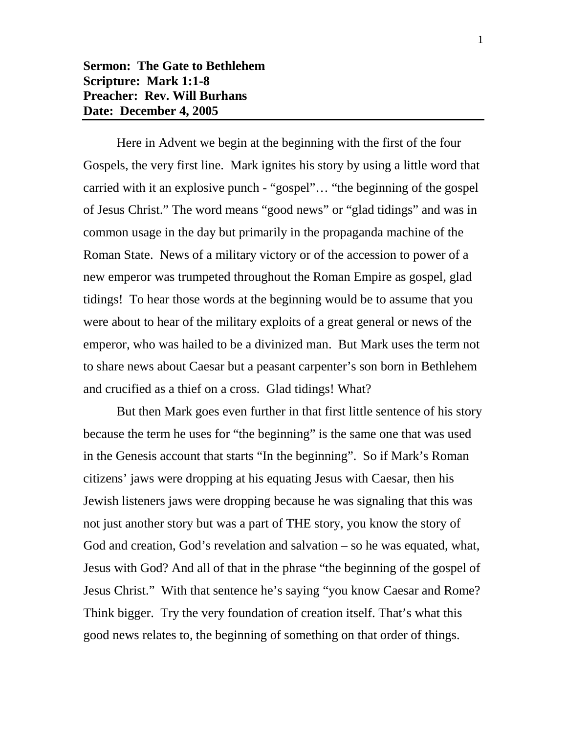Here in Advent we begin at the beginning with the first of the four Gospels, the very first line. Mark ignites his story by using a little word that carried with it an explosive punch - "gospel"… "the beginning of the gospel of Jesus Christ." The word means "good news" or "glad tidings" and was in common usage in the day but primarily in the propaganda machine of the Roman State. News of a military victory or of the accession to power of a new emperor was trumpeted throughout the Roman Empire as gospel, glad tidings! To hear those words at the beginning would be to assume that you were about to hear of the military exploits of a great general or news of the emperor, who was hailed to be a divinized man. But Mark uses the term not to share news about Caesar but a peasant carpenter's son born in Bethlehem and crucified as a thief on a cross. Glad tidings! What?

But then Mark goes even further in that first little sentence of his story because the term he uses for "the beginning" is the same one that was used in the Genesis account that starts "In the beginning". So if Mark's Roman citizens' jaws were dropping at his equating Jesus with Caesar, then his Jewish listeners jaws were dropping because he was signaling that this was not just another story but was a part of THE story, you know the story of God and creation, God's revelation and salvation – so he was equated, what, Jesus with God? And all of that in the phrase "the beginning of the gospel of Jesus Christ." With that sentence he's saying "you know Caesar and Rome? Think bigger. Try the very foundation of creation itself. That's what this good news relates to, the beginning of something on that order of things.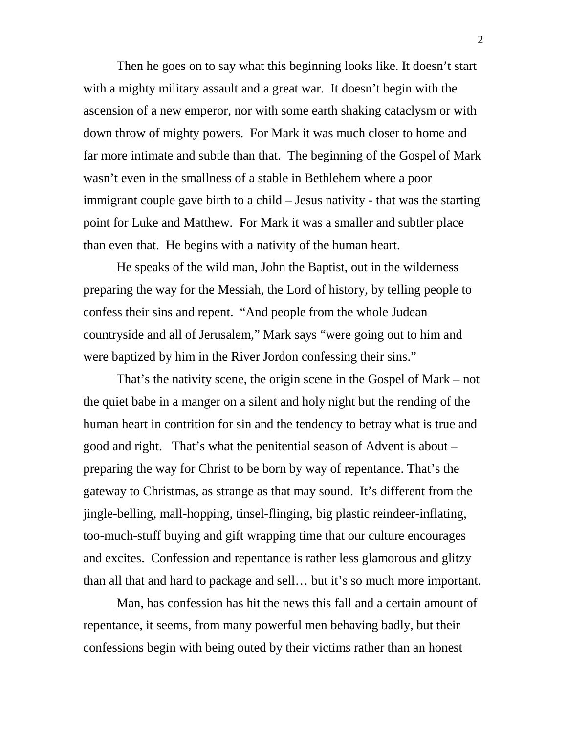Then he goes on to say what this beginning looks like. It doesn't start with a mighty military assault and a great war. It doesn't begin with the ascension of a new emperor, nor with some earth shaking cataclysm or with down throw of mighty powers. For Mark it was much closer to home and far more intimate and subtle than that. The beginning of the Gospel of Mark wasn't even in the smallness of a stable in Bethlehem where a poor immigrant couple gave birth to a child – Jesus nativity - that was the starting point for Luke and Matthew. For Mark it was a smaller and subtler place than even that. He begins with a nativity of the human heart.

He speaks of the wild man, John the Baptist, out in the wilderness preparing the way for the Messiah, the Lord of history, by telling people to confess their sins and repent. "And people from the whole Judean countryside and all of Jerusalem," Mark says "were going out to him and were baptized by him in the River Jordon confessing their sins."

That's the nativity scene, the origin scene in the Gospel of Mark – not the quiet babe in a manger on a silent and holy night but the rending of the human heart in contrition for sin and the tendency to betray what is true and good and right. That's what the penitential season of Advent is about – preparing the way for Christ to be born by way of repentance. That's the gateway to Christmas, as strange as that may sound. It's different from the jingle-belling, mall-hopping, tinsel-flinging, big plastic reindeer-inflating, too-much-stuff buying and gift wrapping time that our culture encourages and excites. Confession and repentance is rather less glamorous and glitzy than all that and hard to package and sell… but it's so much more important.

Man, has confession has hit the news this fall and a certain amount of repentance, it seems, from many powerful men behaving badly, but their confessions begin with being outed by their victims rather than an honest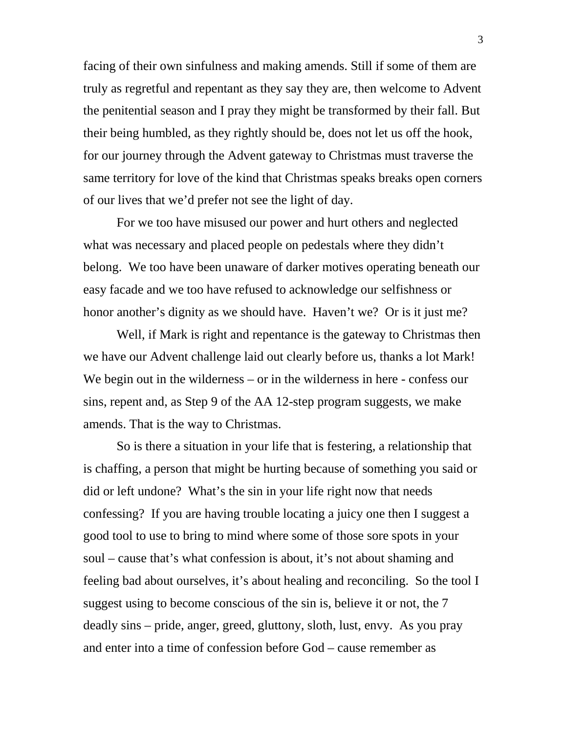facing of their own sinfulness and making amends. Still if some of them are truly as regretful and repentant as they say they are, then welcome to Advent the penitential season and I pray they might be transformed by their fall. But their being humbled, as they rightly should be, does not let us off the hook, for our journey through the Advent gateway to Christmas must traverse the same territory for love of the kind that Christmas speaks breaks open corners of our lives that we'd prefer not see the light of day.

For we too have misused our power and hurt others and neglected what was necessary and placed people on pedestals where they didn't belong. We too have been unaware of darker motives operating beneath our easy facade and we too have refused to acknowledge our selfishness or honor another's dignity as we should have. Haven't we? Or is it just me?

Well, if Mark is right and repentance is the gateway to Christmas then we have our Advent challenge laid out clearly before us, thanks a lot Mark! We begin out in the wilderness – or in the wilderness in here - confess our sins, repent and, as Step 9 of the AA 12-step program suggests, we make amends. That is the way to Christmas.

So is there a situation in your life that is festering, a relationship that is chaffing, a person that might be hurting because of something you said or did or left undone? What's the sin in your life right now that needs confessing? If you are having trouble locating a juicy one then I suggest a good tool to use to bring to mind where some of those sore spots in your soul – cause that's what confession is about, it's not about shaming and feeling bad about ourselves, it's about healing and reconciling. So the tool I suggest using to become conscious of the sin is, believe it or not, the 7 deadly sins – pride, anger, greed, gluttony, sloth, lust, envy. As you pray and enter into a time of confession before God – cause remember as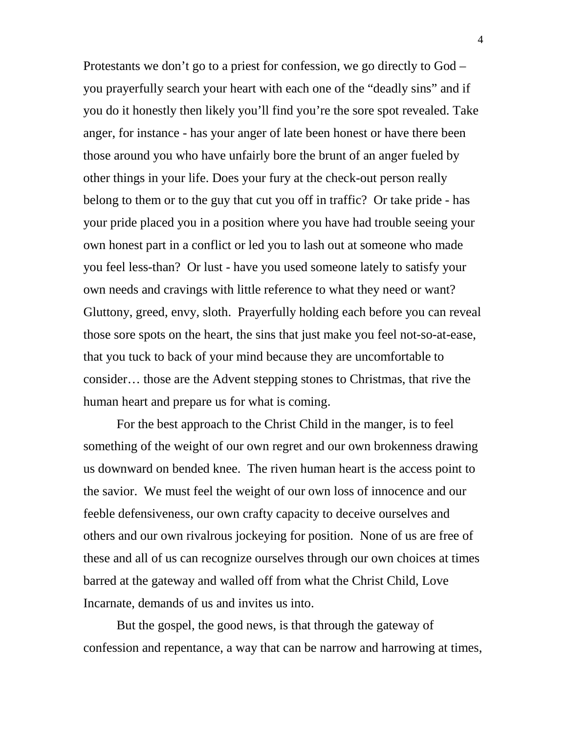Protestants we don't go to a priest for confession, we go directly to God – you prayerfully search your heart with each one of the "deadly sins" and if you do it honestly then likely you'll find you're the sore spot revealed. Take anger, for instance - has your anger of late been honest or have there been those around you who have unfairly bore the brunt of an anger fueled by other things in your life. Does your fury at the check-out person really belong to them or to the guy that cut you off in traffic? Or take pride - has your pride placed you in a position where you have had trouble seeing your own honest part in a conflict or led you to lash out at someone who made you feel less-than? Or lust - have you used someone lately to satisfy your own needs and cravings with little reference to what they need or want? Gluttony, greed, envy, sloth. Prayerfully holding each before you can reveal those sore spots on the heart, the sins that just make you feel not-so-at-ease, that you tuck to back of your mind because they are uncomfortable to consider… those are the Advent stepping stones to Christmas, that rive the human heart and prepare us for what is coming.

For the best approach to the Christ Child in the manger, is to feel something of the weight of our own regret and our own brokenness drawing us downward on bended knee. The riven human heart is the access point to the savior. We must feel the weight of our own loss of innocence and our feeble defensiveness, our own crafty capacity to deceive ourselves and others and our own rivalrous jockeying for position. None of us are free of these and all of us can recognize ourselves through our own choices at times barred at the gateway and walled off from what the Christ Child, Love Incarnate, demands of us and invites us into.

But the gospel, the good news, is that through the gateway of confession and repentance, a way that can be narrow and harrowing at times,